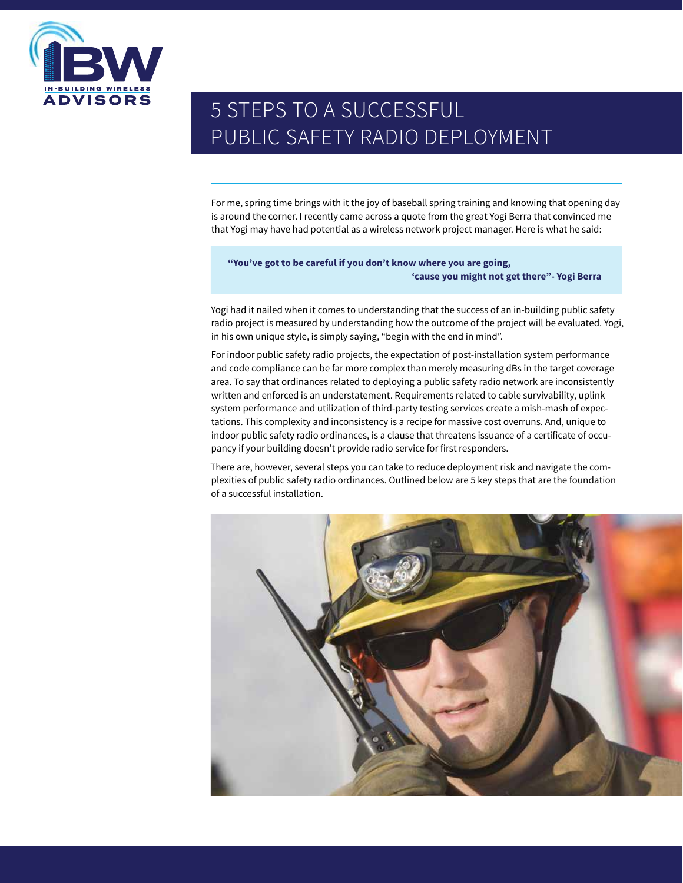

# 5 STEPS TO A SUCCESSFUL PUBLIC SAFETY RADIO DEPLOYMENT

For me, spring time brings with it the joy of baseball spring training and knowing that opening day is around the corner. I recently came across a quote from the great Yogi Berra that convinced me that Yogi may have had potential as a wireless network project manager. Here is what he said:

#### **"You've got to be careful if you don't know where you are going, 'cause you might not get there"- Yogi Berra**

Yogi had it nailed when it comes to understanding that the success of an in-building public safety radio project is measured by understanding how the outcome of the project will be evaluated. Yogi, in his own unique style, is simply saying, "begin with the end in mind".

For indoor public safety radio projects, the expectation of post-installation system performance and code compliance can be far more complex than merely measuring dBs in the target coverage area. To say that ordinances related to deploying a public safety radio network are inconsistently written and enforced is an understatement. Requirements related to cable survivability, uplink system performance and utilization of third-party testing services create a mish-mash of expectations. This complexity and inconsistency is a recipe for massive cost overruns. And, unique to indoor public safety radio ordinances, is a clause that threatens issuance of a certificate of occupancy if your building doesn't provide radio service for first responders.

There are, however, several steps you can take to reduce deployment risk and navigate the complexities of public safety radio ordinances. Outlined below are 5 key steps that are the foundation of a successful installation.

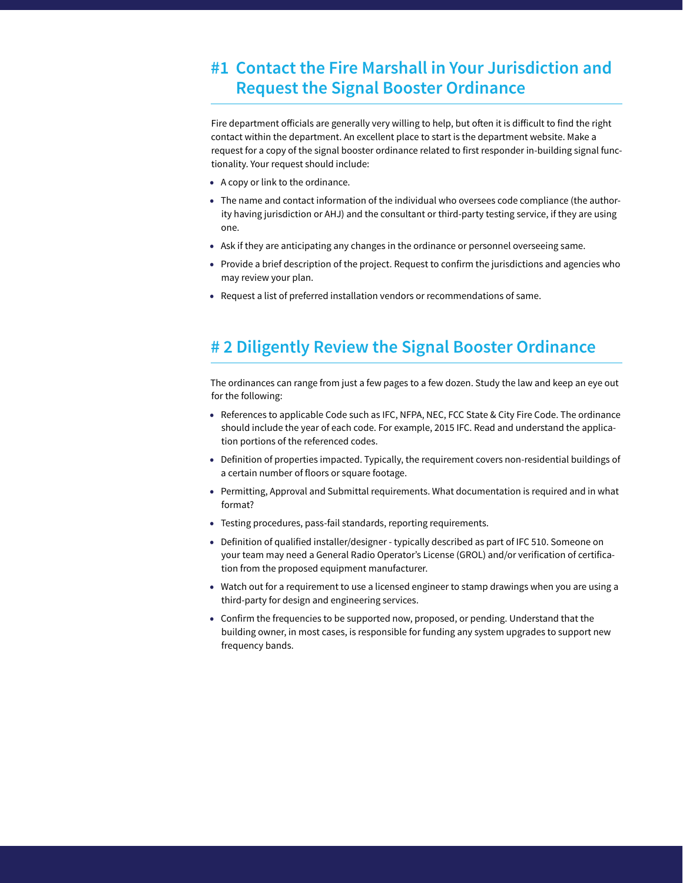#### **#1 Contact the Fire Marshall in Your Jurisdiction and Request the Signal Booster Ordinance**

Fire department officials are generally very willing to help, but often it is difficult to find the right contact within the department. An excellent place to start is the department website. Make a request for a copy of the signal booster ordinance related to first responder in-building signal functionality. Your request should include:

- A copy or link to the ordinance.
- The name and contact information of the individual who oversees code compliance (the authority having jurisdiction or AHJ) and the consultant or third-party testing service, if they are using one.
- Ask if they are anticipating any changes in the ordinance or personnel overseeing same.
- Provide a brief description of the project. Request to confirm the jurisdictions and agencies who may review your plan.
- Request a list of preferred installation vendors or recommendations of same.

## **# 2 Diligently Review the Signal Booster Ordinance**

The ordinances can range from just a few pages to a few dozen. Study the law and keep an eye out for the following:

- References to applicable Code such as IFC, NFPA, NEC, FCC State & City Fire Code. The ordinance should include the year of each code. For example, 2015 IFC. Read and understand the application portions of the referenced codes.
- Definition of properties impacted. Typically, the requirement covers non-residential buildings of a certain number of floors or square footage.
- Permitting, Approval and Submittal requirements. What documentation is required and in what format?
- Testing procedures, pass-fail standards, reporting requirements.
- Definition of qualified installer/designer typically described as part of IFC 510. Someone on your team may need a General Radio Operator's License (GROL) and/or verification of certification from the proposed equipment manufacturer.
- Watch out for a requirement to use a licensed engineer to stamp drawings when you are using a third-party for design and engineering services.
- Confirm the frequencies to be supported now, proposed, or pending. Understand that the building owner, in most cases, is responsible for funding any system upgrades to support new frequency bands.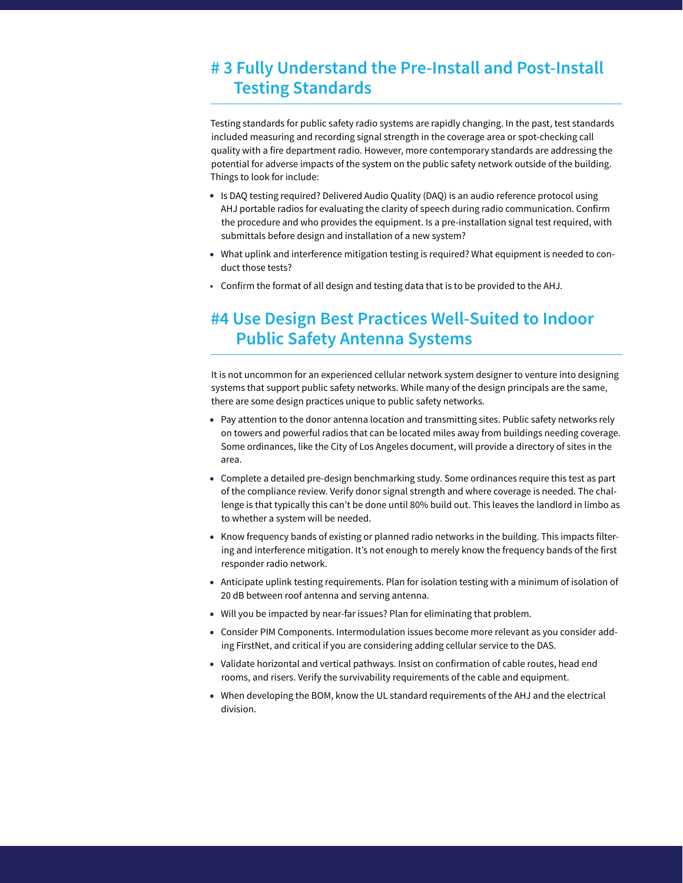### **# 3 Fully Understand the Pre-Install and Post-Install Testing Standards**

Testing standards for public safety radio systems are rapidly changing. In the past, test standards included measuring and recording signal strength in the coverage area or spot-checking call quality with a fire department radio. However, more contemporary standards are addressing the potential for adverse impacts of the system on the public safety network outside of the building. Things to look for include:

- Is DAQ testing required? Delivered Audio Quality (DAQ) is an audio reference protocol using AHJ portable radios for evaluating the clarity of speech during radio communication. Confirm the procedure and who provides the equipment. Is a pre-installation signal test required, with submittals before design and installation of a new system?
- What uplink and interference mitigation testing is required? What equipment is needed to conduct those tests?
- Confirm the format of all design and testing data that is to be provided to the AHJ.

### **#4 Use Design Best Practices Well-Suited to Indoor Public Safety Antenna Systems**

It is not uncommon for an experienced cellular network system designer to venture into designing systems that support public safety networks. While many of the design principals are the same, there are some design practices unique to public safety networks.

- Pay attention to the donor antenna location and transmitting sites. Public safety networks rely on towers and powerful radios that can be located miles away from buildings needing coverage. Some ordinances, like the City of Los Angeles document, will provide a directory of sites in the area.
- Complete a detailed pre-design benchmarking study. Some ordinances require this test as part of the compliance review. Verify donor signal strength and where coverage is needed. The challenge is that typically this can't be done until 80% build out. This leaves the landlord in limbo as to whether a system will be needed.
- Know frequency bands of existing or planned radio networks in the building. This impacts filtering and interference mitigation. It's not enough to merely know the frequency bands of the first responder radio network.
- Anticipate uplink testing requirements. Plan for isolation testing with a minimum of isolation of 20 dB between roof antenna and serving antenna.
- Will you be impacted by near-far issues? Plan for eliminating that problem.
- Consider PIM Components. Intermodulation issues become more relevant as you consider adding FirstNet, and critical if you are considering adding cellular service to the DAS.
- Validate horizontal and vertical pathways. Insist on confirmation of cable routes, head end rooms, and risers. Verify the survivability requirements of the cable and equipment.
- When developing the BOM, know the UL standard requirements of the AHJ and the electrical division.